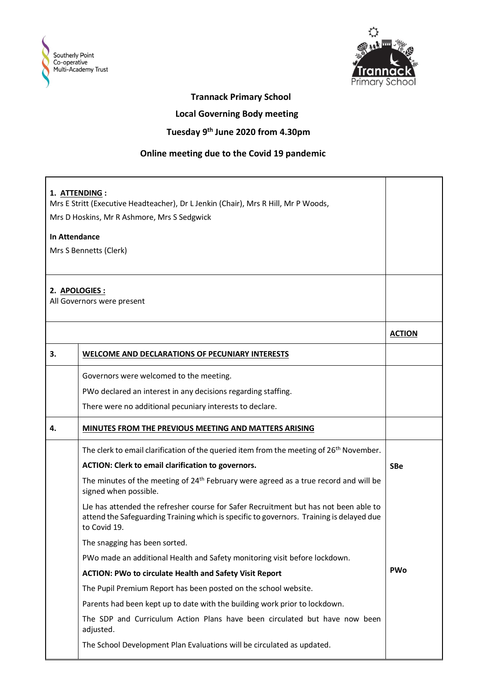



## **Trannack Primary School**

 **Local Governing Body meeting**

## **Tuesday 9th June 2020 from 4.30pm**

## **Online meeting due to the Covid 19 pandemic**

| 1. ATTENDING:<br>Mrs E Stritt (Executive Headteacher), Dr L Jenkin (Chair), Mrs R Hill, Mr P Woods,<br>Mrs D Hoskins, Mr R Ashmore, Mrs S Sedgwick<br><b>In Attendance</b><br>Mrs S Bennetts (Clerk) |                                                                                                                                                                                                 |               |
|------------------------------------------------------------------------------------------------------------------------------------------------------------------------------------------------------|-------------------------------------------------------------------------------------------------------------------------------------------------------------------------------------------------|---------------|
| 2. APOLOGIES :                                                                                                                                                                                       | All Governors were present                                                                                                                                                                      |               |
|                                                                                                                                                                                                      |                                                                                                                                                                                                 | <b>ACTION</b> |
| 3.                                                                                                                                                                                                   | <b>WELCOME AND DECLARATIONS OF PECUNIARY INTERESTS</b>                                                                                                                                          |               |
|                                                                                                                                                                                                      | Governors were welcomed to the meeting.                                                                                                                                                         |               |
|                                                                                                                                                                                                      | PWo declared an interest in any decisions regarding staffing.                                                                                                                                   |               |
|                                                                                                                                                                                                      | There were no additional pecuniary interests to declare.                                                                                                                                        |               |
| 4.                                                                                                                                                                                                   | MINUTES FROM THE PREVIOUS MEETING AND MATTERS ARISING                                                                                                                                           |               |
|                                                                                                                                                                                                      | The clerk to email clarification of the queried item from the meeting of 26 <sup>th</sup> November.                                                                                             |               |
|                                                                                                                                                                                                      | ACTION: Clerk to email clarification to governors.                                                                                                                                              | <b>SBe</b>    |
|                                                                                                                                                                                                      | The minutes of the meeting of 24 <sup>th</sup> February were agreed as a true record and will be<br>signed when possible.                                                                       |               |
|                                                                                                                                                                                                      | Le has attended the refresher course for Safer Recruitment but has not been able to<br>attend the Safeguarding Training which is specific to governors. Training is delayed due<br>to Covid 19. |               |
|                                                                                                                                                                                                      | The snagging has been sorted.                                                                                                                                                                   |               |
|                                                                                                                                                                                                      | PWo made an additional Health and Safety monitoring visit before lockdown.                                                                                                                      |               |
|                                                                                                                                                                                                      | ACTION: PWo to circulate Health and Safety Visit Report                                                                                                                                         | <b>PWo</b>    |
|                                                                                                                                                                                                      | The Pupil Premium Report has been posted on the school website.                                                                                                                                 |               |
|                                                                                                                                                                                                      | Parents had been kept up to date with the building work prior to lockdown.                                                                                                                      |               |
|                                                                                                                                                                                                      | The SDP and Curriculum Action Plans have been circulated but have now been<br>adjusted.                                                                                                         |               |
|                                                                                                                                                                                                      | The School Development Plan Evaluations will be circulated as updated.                                                                                                                          |               |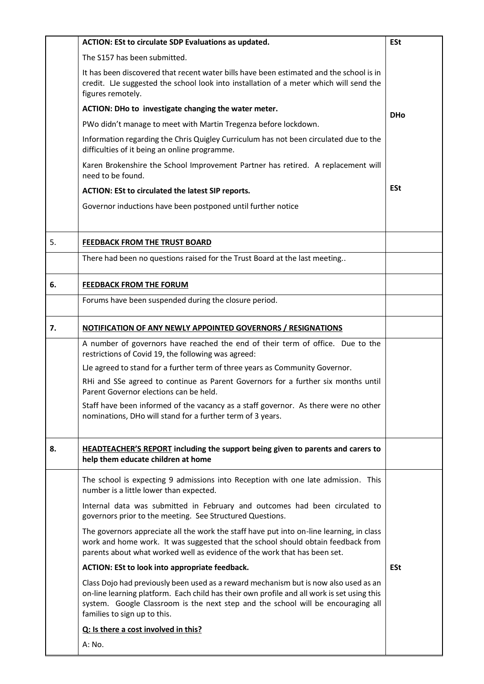|    | ACTION: ESt to circulate SDP Evaluations as updated.                                                                                                                                                                                                                                                   | <b>ESt</b> |
|----|--------------------------------------------------------------------------------------------------------------------------------------------------------------------------------------------------------------------------------------------------------------------------------------------------------|------------|
|    | The S157 has been submitted.                                                                                                                                                                                                                                                                           |            |
|    | It has been discovered that recent water bills have been estimated and the school is in<br>credit. LJe suggested the school look into installation of a meter which will send the<br>figures remotely.                                                                                                 |            |
|    | ACTION: DHo to investigate changing the water meter.                                                                                                                                                                                                                                                   | <b>DHo</b> |
|    | PWo didn't manage to meet with Martin Tregenza before lockdown.                                                                                                                                                                                                                                        |            |
|    | Information regarding the Chris Quigley Curriculum has not been circulated due to the<br>difficulties of it being an online programme.                                                                                                                                                                 |            |
|    | Karen Brokenshire the School Improvement Partner has retired. A replacement will<br>need to be found.                                                                                                                                                                                                  |            |
|    | ACTION: ESt to circulated the latest SIP reports.                                                                                                                                                                                                                                                      | <b>ESt</b> |
|    | Governor inductions have been postponed until further notice                                                                                                                                                                                                                                           |            |
| 5. | FEEDBACK FROM THE TRUST BOARD                                                                                                                                                                                                                                                                          |            |
|    | There had been no questions raised for the Trust Board at the last meeting                                                                                                                                                                                                                             |            |
| 6. | <b>FEEDBACK FROM THE FORUM</b>                                                                                                                                                                                                                                                                         |            |
|    | Forums have been suspended during the closure period.                                                                                                                                                                                                                                                  |            |
| 7. | NOTIFICATION OF ANY NEWLY APPOINTED GOVERNORS / RESIGNATIONS                                                                                                                                                                                                                                           |            |
|    | A number of governors have reached the end of their term of office. Due to the<br>restrictions of Covid 19, the following was agreed:                                                                                                                                                                  |            |
|    | LJe agreed to stand for a further term of three years as Community Governor.                                                                                                                                                                                                                           |            |
|    | RHi and SSe agreed to continue as Parent Governors for a further six months until<br>Parent Governor elections can be held.                                                                                                                                                                            |            |
|    | Staff have been informed of the vacancy as a staff governor. As there were no other<br>nominations, DHo will stand for a further term of 3 years.                                                                                                                                                      |            |
| 8. | <b>HEADTEACHER'S REPORT</b> including the support being given to parents and carers to<br>help them educate children at home                                                                                                                                                                           |            |
|    | The school is expecting 9 admissions into Reception with one late admission. This<br>number is a little lower than expected.                                                                                                                                                                           |            |
|    | Internal data was submitted in February and outcomes had been circulated to<br>governors prior to the meeting. See Structured Questions.                                                                                                                                                               |            |
|    | The governors appreciate all the work the staff have put into on-line learning, in class<br>work and home work. It was suggested that the school should obtain feedback from<br>parents about what worked well as evidence of the work that has been set.                                              |            |
|    | ACTION: ESt to look into appropriate feedback.                                                                                                                                                                                                                                                         | <b>ESt</b> |
|    | Class Dojo had previously been used as a reward mechanism but is now also used as an<br>on-line learning platform. Each child has their own profile and all work is set using this<br>system. Google Classroom is the next step and the school will be encouraging all<br>families to sign up to this. |            |
|    | Q: Is there a cost involved in this?                                                                                                                                                                                                                                                                   |            |
|    | A: No.                                                                                                                                                                                                                                                                                                 |            |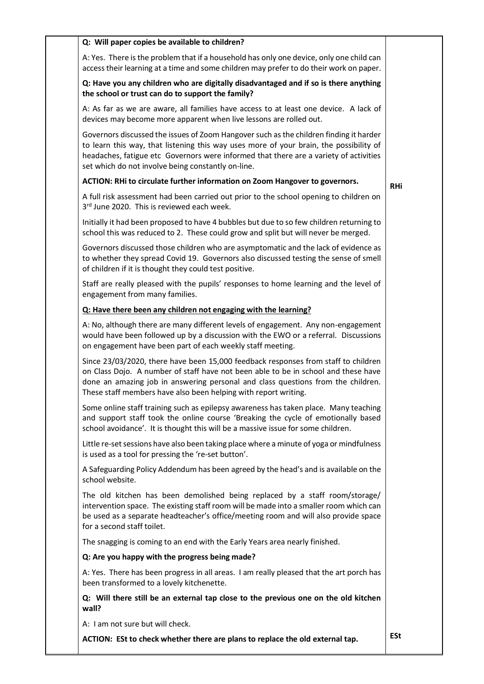| Q: Will paper copies be available to children?                                                                                                                                                                                                                                                                                  |            |
|---------------------------------------------------------------------------------------------------------------------------------------------------------------------------------------------------------------------------------------------------------------------------------------------------------------------------------|------------|
| A: Yes. There is the problem that if a household has only one device, only one child can<br>access their learning at a time and some children may prefer to do their work on paper.                                                                                                                                             |            |
| Q: Have you any children who are digitally disadvantaged and if so is there anything<br>the school or trust can do to support the family?                                                                                                                                                                                       |            |
| A: As far as we are aware, all families have access to at least one device. A lack of<br>devices may become more apparent when live lessons are rolled out.                                                                                                                                                                     |            |
| Governors discussed the issues of Zoom Hangover such as the children finding it harder<br>to learn this way, that listening this way uses more of your brain, the possibility of<br>headaches, fatigue etc Governors were informed that there are a variety of activities<br>set which do not involve being constantly on-line. |            |
| ACTION: RHi to circulate further information on Zoom Hangover to governors.                                                                                                                                                                                                                                                     | <b>RHi</b> |
| A full risk assessment had been carried out prior to the school opening to children on<br>3rd June 2020. This is reviewed each week.                                                                                                                                                                                            |            |
| Initially it had been proposed to have 4 bubbles but due to so few children returning to<br>school this was reduced to 2. These could grow and split but will never be merged.                                                                                                                                                  |            |
| Governors discussed those children who are asymptomatic and the lack of evidence as<br>to whether they spread Covid 19. Governors also discussed testing the sense of smell<br>of children if it is thought they could test positive.                                                                                           |            |
| Staff are really pleased with the pupils' responses to home learning and the level of<br>engagement from many families.                                                                                                                                                                                                         |            |
| Q: Have there been any children not engaging with the learning?                                                                                                                                                                                                                                                                 |            |
| A: No, although there are many different levels of engagement. Any non-engagement<br>would have been followed up by a discussion with the EWO or a referral. Discussions<br>on engagement have been part of each weekly staff meeting.                                                                                          |            |
| Since 23/03/2020, there have been 15,000 feedback responses from staff to children<br>on Class Dojo. A number of staff have not been able to be in school and these have<br>done an amazing job in answering personal and class questions from the children.<br>These staff members have also been helping with report writing. |            |
| Some online staff training such as epilepsy awareness has taken place. Many teaching<br>and support staff took the online course 'Breaking the cycle of emotionally based<br>school avoidance'. It is thought this will be a massive issue for some children.                                                                   |            |
| Little re-set sessions have also been taking place where a minute of yoga or mindfulness<br>is used as a tool for pressing the 're-set button'.                                                                                                                                                                                 |            |
| A Safeguarding Policy Addendum has been agreed by the head's and is available on the<br>school website.                                                                                                                                                                                                                         |            |
| The old kitchen has been demolished being replaced by a staff room/storage/<br>intervention space. The existing staff room will be made into a smaller room which can<br>be used as a separate headteacher's office/meeting room and will also provide space<br>for a second staff toilet.                                      |            |
| The snagging is coming to an end with the Early Years area nearly finished.                                                                                                                                                                                                                                                     |            |
| Q: Are you happy with the progress being made?                                                                                                                                                                                                                                                                                  |            |
| A: Yes. There has been progress in all areas. I am really pleased that the art porch has<br>been transformed to a lovely kitchenette.                                                                                                                                                                                           |            |
| Q: Will there still be an external tap close to the previous one on the old kitchen<br>wall?                                                                                                                                                                                                                                    |            |
| A: I am not sure but will check.                                                                                                                                                                                                                                                                                                |            |
| ACTION: ESt to check whether there are plans to replace the old external tap.                                                                                                                                                                                                                                                   | <b>ESt</b> |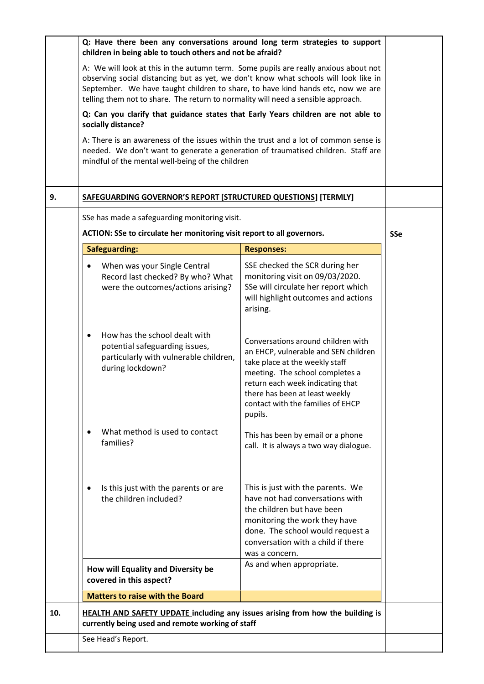|     | Q: Have there been any conversations around long term strategies to support<br>children in being able to touch others and not be afraid?                                                                                                                                                                                                                                                                                                                                                                                                                                                                                                                                                         |                                                                                                                                                                                                                                                                       |  |
|-----|--------------------------------------------------------------------------------------------------------------------------------------------------------------------------------------------------------------------------------------------------------------------------------------------------------------------------------------------------------------------------------------------------------------------------------------------------------------------------------------------------------------------------------------------------------------------------------------------------------------------------------------------------------------------------------------------------|-----------------------------------------------------------------------------------------------------------------------------------------------------------------------------------------------------------------------------------------------------------------------|--|
|     | A: We will look at this in the autumn term. Some pupils are really anxious about not<br>observing social distancing but as yet, we don't know what schools will look like in<br>September. We have taught children to share, to have kind hands etc, now we are<br>telling them not to share. The return to normality will need a sensible approach.<br>Q: Can you clarify that guidance states that Early Years children are not able to<br>socially distance?<br>A: There is an awareness of the issues within the trust and a lot of common sense is<br>needed. We don't want to generate a generation of traumatised children. Staff are<br>mindful of the mental well-being of the children |                                                                                                                                                                                                                                                                       |  |
|     |                                                                                                                                                                                                                                                                                                                                                                                                                                                                                                                                                                                                                                                                                                  |                                                                                                                                                                                                                                                                       |  |
|     |                                                                                                                                                                                                                                                                                                                                                                                                                                                                                                                                                                                                                                                                                                  |                                                                                                                                                                                                                                                                       |  |
| 9.  | SAFEGUARDING GOVERNOR'S REPORT [STRUCTURED QUESTIONS] [TERMLY]                                                                                                                                                                                                                                                                                                                                                                                                                                                                                                                                                                                                                                   |                                                                                                                                                                                                                                                                       |  |
|     | SSe has made a safeguarding monitoring visit.<br>ACTION: SSe to circulate her monitoring visit report to all governors.                                                                                                                                                                                                                                                                                                                                                                                                                                                                                                                                                                          |                                                                                                                                                                                                                                                                       |  |
|     | <b>Safeguarding:</b>                                                                                                                                                                                                                                                                                                                                                                                                                                                                                                                                                                                                                                                                             | <b>Responses:</b>                                                                                                                                                                                                                                                     |  |
|     | When was your Single Central<br>Record last checked? By who? What<br>were the outcomes/actions arising?                                                                                                                                                                                                                                                                                                                                                                                                                                                                                                                                                                                          | SSE checked the SCR during her<br>monitoring visit on 09/03/2020.<br>SSe will circulate her report which<br>will highlight outcomes and actions<br>arising.                                                                                                           |  |
|     | How has the school dealt with<br>٠<br>potential safeguarding issues,<br>particularly with vulnerable children,<br>during lockdown?                                                                                                                                                                                                                                                                                                                                                                                                                                                                                                                                                               | Conversations around children with<br>an EHCP, vulnerable and SEN children<br>take place at the weekly staff<br>meeting. The school completes a<br>return each week indicating that<br>there has been at least weekly<br>contact with the families of EHCP<br>pupils. |  |
|     | What method is used to contact<br>families?                                                                                                                                                                                                                                                                                                                                                                                                                                                                                                                                                                                                                                                      | This has been by email or a phone<br>call. It is always a two way dialogue.                                                                                                                                                                                           |  |
|     | Is this just with the parents or are<br>the children included?                                                                                                                                                                                                                                                                                                                                                                                                                                                                                                                                                                                                                                   | This is just with the parents. We<br>have not had conversations with<br>the children but have been<br>monitoring the work they have<br>done. The school would request a<br>conversation with a child if there<br>was a concern.                                       |  |
|     | How will Equality and Diversity be<br>covered in this aspect?                                                                                                                                                                                                                                                                                                                                                                                                                                                                                                                                                                                                                                    | As and when appropriate.                                                                                                                                                                                                                                              |  |
|     | <b>Matters to raise with the Board</b>                                                                                                                                                                                                                                                                                                                                                                                                                                                                                                                                                                                                                                                           |                                                                                                                                                                                                                                                                       |  |
| 10. | <b>HEALTH AND SAFETY UPDATE including any issues arising from how the building is</b><br>currently being used and remote working of staff                                                                                                                                                                                                                                                                                                                                                                                                                                                                                                                                                        |                                                                                                                                                                                                                                                                       |  |
|     | See Head's Report.                                                                                                                                                                                                                                                                                                                                                                                                                                                                                                                                                                                                                                                                               |                                                                                                                                                                                                                                                                       |  |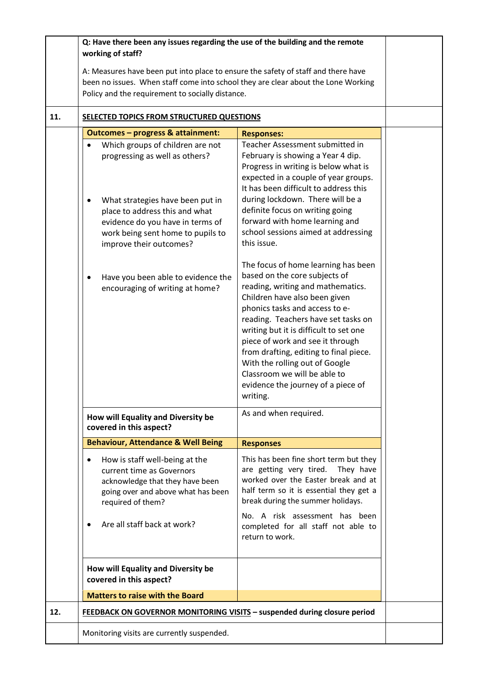|     | Q: Have there been any issues regarding the use of the building and the remote<br>working of staff?                                                                                                                                                                                                                                                                                                          |                                                                                                                                                                                                                                                                                                                                                                                                                                                                                                                                                                   |  |
|-----|--------------------------------------------------------------------------------------------------------------------------------------------------------------------------------------------------------------------------------------------------------------------------------------------------------------------------------------------------------------------------------------------------------------|-------------------------------------------------------------------------------------------------------------------------------------------------------------------------------------------------------------------------------------------------------------------------------------------------------------------------------------------------------------------------------------------------------------------------------------------------------------------------------------------------------------------------------------------------------------------|--|
|     | A: Measures have been put into place to ensure the safety of staff and there have<br>been no issues. When staff come into school they are clear about the Lone Working<br>Policy and the requirement to socially distance.                                                                                                                                                                                   |                                                                                                                                                                                                                                                                                                                                                                                                                                                                                                                                                                   |  |
| 11. | SELECTED TOPICS FROM STRUCTURED QUESTIONS                                                                                                                                                                                                                                                                                                                                                                    |                                                                                                                                                                                                                                                                                                                                                                                                                                                                                                                                                                   |  |
|     | <b>Outcomes - progress &amp; attainment:</b><br>Which groups of children are not<br>$\bullet$<br>progressing as well as others?<br>What strategies have been put in<br>$\bullet$<br>place to address this and what<br>evidence do you have in terms of<br>work being sent home to pupils to<br>improve their outcomes?<br>Have you been able to evidence the<br>$\bullet$<br>encouraging of writing at home? | <b>Responses:</b><br>Teacher Assessment submitted in<br>February is showing a Year 4 dip.<br>Progress in writing is below what is<br>expected in a couple of year groups.<br>It has been difficult to address this<br>during lockdown. There will be a<br>definite focus on writing going<br>forward with home learning and<br>school sessions aimed at addressing<br>this issue.<br>The focus of home learning has been<br>based on the core subjects of<br>reading, writing and mathematics.<br>Children have also been given<br>phonics tasks and access to e- |  |
|     | How will Equality and Diversity be<br>covered in this aspect?                                                                                                                                                                                                                                                                                                                                                | reading. Teachers have set tasks on<br>writing but it is difficult to set one<br>piece of work and see it through<br>from drafting, editing to final piece.<br>With the rolling out of Google<br>Classroom we will be able to<br>evidence the journey of a piece of<br>writing.<br>As and when required.                                                                                                                                                                                                                                                          |  |
|     | <b>Behaviour, Attendance &amp; Well Being</b>                                                                                                                                                                                                                                                                                                                                                                | <b>Responses</b>                                                                                                                                                                                                                                                                                                                                                                                                                                                                                                                                                  |  |
|     | How is staff well-being at the<br>$\bullet$<br>current time as Governors<br>acknowledge that they have been<br>going over and above what has been<br>required of them?<br>Are all staff back at work?<br>$\bullet$                                                                                                                                                                                           | This has been fine short term but they<br>are getting very tired.<br>They have<br>worked over the Easter break and at<br>half term so it is essential they get a<br>break during the summer holidays.<br>No. A risk assessment has been<br>completed for all staff not able to<br>return to work.                                                                                                                                                                                                                                                                 |  |
|     | How will Equality and Diversity be<br>covered in this aspect?<br><b>Matters to raise with the Board</b>                                                                                                                                                                                                                                                                                                      |                                                                                                                                                                                                                                                                                                                                                                                                                                                                                                                                                                   |  |
| 12. | <b>FEEDBACK ON GOVERNOR MONITORING VISITS - suspended during closure period</b>                                                                                                                                                                                                                                                                                                                              |                                                                                                                                                                                                                                                                                                                                                                                                                                                                                                                                                                   |  |
|     | Monitoring visits are currently suspended.                                                                                                                                                                                                                                                                                                                                                                   |                                                                                                                                                                                                                                                                                                                                                                                                                                                                                                                                                                   |  |
|     |                                                                                                                                                                                                                                                                                                                                                                                                              |                                                                                                                                                                                                                                                                                                                                                                                                                                                                                                                                                                   |  |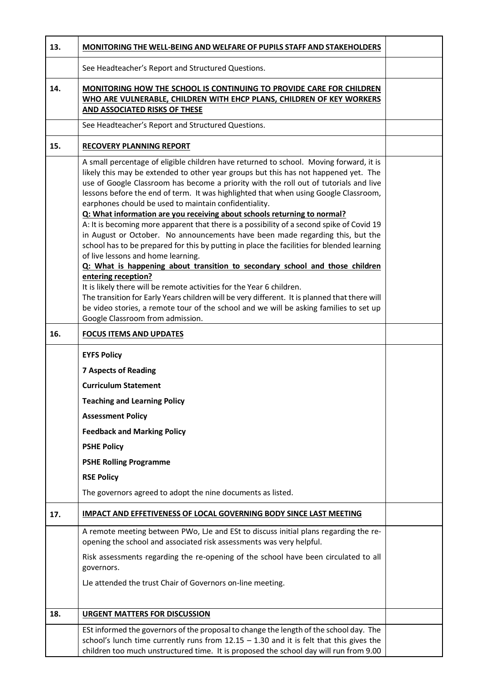| 13. | MONITORING THE WELL-BEING AND WELFARE OF PUPILS STAFF AND STAKEHOLDERS                                                                                                                                                                                                                                                                                                                                                                                                                                                                                                                                                                                                                                                                                                                                                                                                                                                                                                                                                                                                                                                                                                                                                               |  |
|-----|--------------------------------------------------------------------------------------------------------------------------------------------------------------------------------------------------------------------------------------------------------------------------------------------------------------------------------------------------------------------------------------------------------------------------------------------------------------------------------------------------------------------------------------------------------------------------------------------------------------------------------------------------------------------------------------------------------------------------------------------------------------------------------------------------------------------------------------------------------------------------------------------------------------------------------------------------------------------------------------------------------------------------------------------------------------------------------------------------------------------------------------------------------------------------------------------------------------------------------------|--|
|     | See Headteacher's Report and Structured Questions.                                                                                                                                                                                                                                                                                                                                                                                                                                                                                                                                                                                                                                                                                                                                                                                                                                                                                                                                                                                                                                                                                                                                                                                   |  |
| 14. | MONITORING HOW THE SCHOOL IS CONTINUING TO PROVIDE CARE FOR CHILDREN<br>WHO ARE VULNERABLE, CHILDREN WITH EHCP PLANS, CHILDREN OF KEY WORKERS<br>AND ASSOCIATED RISKS OF THESE                                                                                                                                                                                                                                                                                                                                                                                                                                                                                                                                                                                                                                                                                                                                                                                                                                                                                                                                                                                                                                                       |  |
|     | See Headteacher's Report and Structured Questions.                                                                                                                                                                                                                                                                                                                                                                                                                                                                                                                                                                                                                                                                                                                                                                                                                                                                                                                                                                                                                                                                                                                                                                                   |  |
| 15. | <b>RECOVERY PLANNING REPORT</b>                                                                                                                                                                                                                                                                                                                                                                                                                                                                                                                                                                                                                                                                                                                                                                                                                                                                                                                                                                                                                                                                                                                                                                                                      |  |
|     | A small percentage of eligible children have returned to school. Moving forward, it is<br>likely this may be extended to other year groups but this has not happened yet. The<br>use of Google Classroom has become a priority with the roll out of tutorials and live<br>lessons before the end of term. It was highlighted that when using Google Classroom,<br>earphones chould be used to maintain confidentiality.<br>Q: What information are you receiving about schools returning to normal?<br>A: It is becoming more apparent that there is a possibility of a second spike of Covid 19<br>in August or October. No announcements have been made regarding this, but the<br>school has to be prepared for this by putting in place the facilities for blended learning<br>of live lessons and home learning.<br>Q: What is happening about transition to secondary school and those children<br>entering reception?<br>It is likely there will be remote activities for the Year 6 children.<br>The transition for Early Years children will be very different. It is planned that there will<br>be video stories, a remote tour of the school and we will be asking families to set up<br>Google Classroom from admission. |  |
| 16. | <b>FOCUS ITEMS AND UPDATES</b>                                                                                                                                                                                                                                                                                                                                                                                                                                                                                                                                                                                                                                                                                                                                                                                                                                                                                                                                                                                                                                                                                                                                                                                                       |  |
|     | <b>EYFS Policy</b><br><b>7 Aspects of Reading</b><br><b>Curriculum Statement</b><br><b>Teaching and Learning Policy</b><br><b>Assessment Policy</b><br><b>Feedback and Marking Policy</b><br><b>PSHE Policy</b><br><b>PSHE Rolling Programme</b><br><b>RSE Policy</b><br>The governors agreed to adopt the nine documents as listed.                                                                                                                                                                                                                                                                                                                                                                                                                                                                                                                                                                                                                                                                                                                                                                                                                                                                                                 |  |
| 17. | <b>IMPACT AND EFFETIVENESS OF LOCAL GOVERNING BODY SINCE LAST MEETING</b>                                                                                                                                                                                                                                                                                                                                                                                                                                                                                                                                                                                                                                                                                                                                                                                                                                                                                                                                                                                                                                                                                                                                                            |  |
|     | A remote meeting between PWo, LJe and ESt to discuss initial plans regarding the re-<br>opening the school and associated risk assessments was very helpful.<br>Risk assessments regarding the re-opening of the school have been circulated to all<br>governors.<br>LJe attended the trust Chair of Governors on-line meeting.                                                                                                                                                                                                                                                                                                                                                                                                                                                                                                                                                                                                                                                                                                                                                                                                                                                                                                      |  |
| 18. | <b>URGENT MATTERS FOR DISCUSSION</b>                                                                                                                                                                                                                                                                                                                                                                                                                                                                                                                                                                                                                                                                                                                                                                                                                                                                                                                                                                                                                                                                                                                                                                                                 |  |
|     | ESt informed the governors of the proposal to change the length of the school day. The<br>school's lunch time currently runs from $12.15 - 1.30$ and it is felt that this gives the<br>children too much unstructured time. It is proposed the school day will run from 9.00                                                                                                                                                                                                                                                                                                                                                                                                                                                                                                                                                                                                                                                                                                                                                                                                                                                                                                                                                         |  |